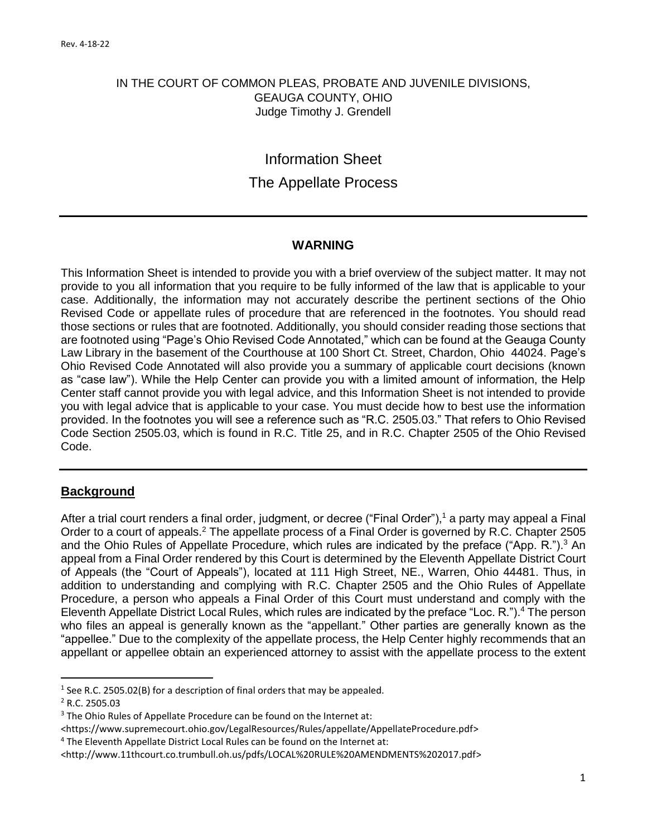#### IN THE COURT OF COMMON PLEAS, PROBATE AND JUVENILE DIVISIONS, GEAUGA COUNTY, OHIO Judge Timothy J. Grendell

# Information Sheet The Appellate Process

#### **WARNING**

This Information Sheet is intended to provide you with a brief overview of the subject matter. It may not provide to you all information that you require to be fully informed of the law that is applicable to your case. Additionally, the information may not accurately describe the pertinent sections of the Ohio Revised Code or appellate rules of procedure that are referenced in the footnotes. You should read those sections or rules that are footnoted. Additionally, you should consider reading those sections that are footnoted using "Page's Ohio Revised Code Annotated," which can be found at the Geauga County Law Library in the basement of the Courthouse at 100 Short Ct. Street, Chardon, Ohio 44024. Page's Ohio Revised Code Annotated will also provide you a summary of applicable court decisions (known as "case law"). While the Help Center can provide you with a limited amount of information, the Help Center staff cannot provide you with legal advice, and this Information Sheet is not intended to provide you with legal advice that is applicable to your case. You must decide how to best use the information provided. In the footnotes you will see a reference such as "R.C. 2505.03." That refers to Ohio Revised Code Section 2505.03, which is found in R.C. Title 25, and in R.C. Chapter 2505 of the Ohio Revised Code.

## **Background**

After a trial court renders a final order, judgment, or decree ("Final Order"),<sup>1</sup> a party may appeal a Final Order to a court of appeals.<sup>2</sup> The appellate process of a Final Order is governed by R.C. Chapter 2505 and the Ohio Rules of Appellate Procedure, which rules are indicated by the preface ("App. R.").<sup>3</sup> An appeal from a Final Order rendered by this Court is determined by the Eleventh Appellate District Court of Appeals (the "Court of Appeals"), located at 111 High Street, NE., Warren, Ohio 44481. Thus, in addition to understanding and complying with R.C. Chapter 2505 and the Ohio Rules of Appellate Procedure, a person who appeals a Final Order of this Court must understand and comply with the Eleventh Appellate District Local Rules, which rules are indicated by the preface "Loc. R.").<sup>4</sup> The person who files an appeal is generally known as the "appellant." Other parties are generally known as the "appellee." Due to the complexity of the appellate process, the Help Center highly recommends that an appellant or appellee obtain an experienced attorney to assist with the appellate process to the extent

 $<sup>1</sup>$  See R.C. 2505.02(B) for a description of final orders that may be appealed.</sup>

<sup>2</sup> R.C. 2505.03

<sup>&</sup>lt;sup>3</sup> The Ohio Rules of Appellate Procedure can be found on the Internet at:

<sup>&</sup>lt;https://www.supremecourt.ohio.gov/LegalResources/Rules/appellate/AppellateProcedure.pdf>

<sup>&</sup>lt;sup>4</sup> The Eleventh Appellate District Local Rules can be found on the Internet at:

<sup>&</sup>lt;http://www.11thcourt.co.trumbull.oh.us/pdfs/LOCAL%20RULE%20AMENDMENTS%202017.pdf>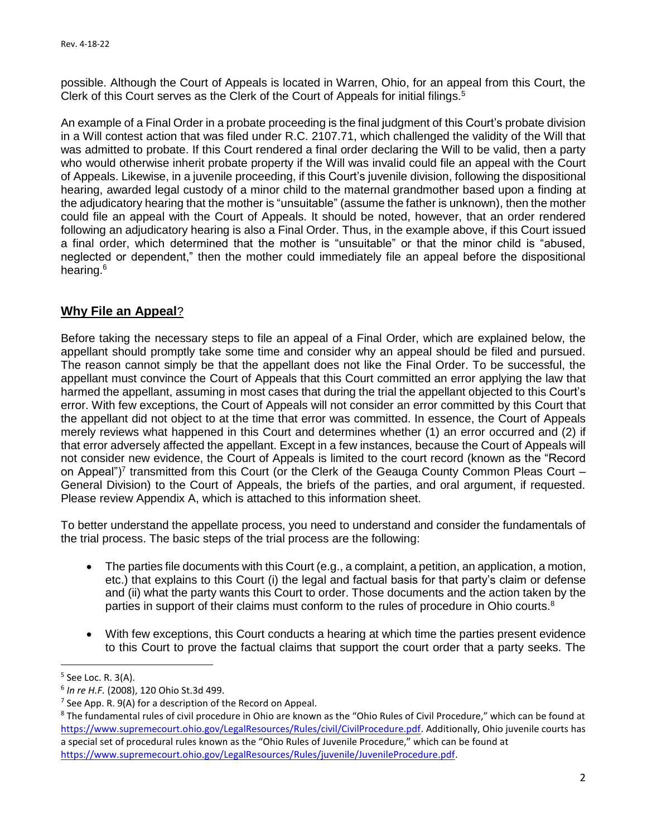possible. Although the Court of Appeals is located in Warren, Ohio, for an appeal from this Court, the Clerk of this Court serves as the Clerk of the Court of Appeals for initial filings.<sup>5</sup>

An example of a Final Order in a probate proceeding is the final judgment of this Court's probate division in a Will contest action that was filed under R.C. 2107.71, which challenged the validity of the Will that was admitted to probate. If this Court rendered a final order declaring the Will to be valid, then a party who would otherwise inherit probate property if the Will was invalid could file an appeal with the Court of Appeals. Likewise, in a juvenile proceeding, if this Court's juvenile division, following the dispositional hearing, awarded legal custody of a minor child to the maternal grandmother based upon a finding at the adjudicatory hearing that the mother is "unsuitable" (assume the father is unknown), then the mother could file an appeal with the Court of Appeals. It should be noted, however, that an order rendered following an adjudicatory hearing is also a Final Order. Thus, in the example above, if this Court issued a final order, which determined that the mother is "unsuitable" or that the minor child is "abused, neglected or dependent," then the mother could immediately file an appeal before the dispositional hearing.<sup>6</sup>

## **Why File an Appeal**?

Before taking the necessary steps to file an appeal of a Final Order, which are explained below, the appellant should promptly take some time and consider why an appeal should be filed and pursued. The reason cannot simply be that the appellant does not like the Final Order. To be successful, the appellant must convince the Court of Appeals that this Court committed an error applying the law that harmed the appellant, assuming in most cases that during the trial the appellant objected to this Court's error. With few exceptions, the Court of Appeals will not consider an error committed by this Court that the appellant did not object to at the time that error was committed. In essence, the Court of Appeals merely reviews what happened in this Court and determines whether (1) an error occurred and (2) if that error adversely affected the appellant. Except in a few instances, because the Court of Appeals will not consider new evidence, the Court of Appeals is limited to the court record (known as the "Record on Appeal")<sup>7</sup> transmitted from this Court (or the Clerk of the Geauga County Common Pleas Court -General Division) to the Court of Appeals, the briefs of the parties, and oral argument, if requested. Please review Appendix A, which is attached to this information sheet.

To better understand the appellate process, you need to understand and consider the fundamentals of the trial process. The basic steps of the trial process are the following:

- The parties file documents with this Court (e.g., a complaint, a petition, an application, a motion, etc.) that explains to this Court (i) the legal and factual basis for that party's claim or defense and (ii) what the party wants this Court to order. Those documents and the action taken by the parties in support of their claims must conform to the rules of procedure in Ohio courts.<sup>8</sup>
- With few exceptions, this Court conducts a hearing at which time the parties present evidence to this Court to prove the factual claims that support the court order that a party seeks. The

<sup>&</sup>lt;sup>5</sup> See Loc. R. 3(A).

<sup>6</sup> *In re H.F.* (2008), 120 Ohio St.3d 499.

<sup>&</sup>lt;sup>7</sup> See App. R. 9(A) for a description of the Record on Appeal.

<sup>&</sup>lt;sup>8</sup> The fundamental rules of civil procedure in Ohio are known as the "Ohio Rules of Civil Procedure," which can be found at [https://www.supremecourt.ohio.gov/LegalResources/Rules/civil/CivilProcedure.pdf.](https://www.supremecourt.ohio.gov/LegalResources/Rules/civil/CivilProcedure.pdf) Additionally, Ohio juvenile courts has a special set of procedural rules known as the "Ohio Rules of Juvenile Procedure," which can be found at [https://www.supremecourt.ohio.gov/LegalResources/Rules/juvenile/JuvenileProcedure.pdf.](https://www.supremecourt.ohio.gov/LegalResources/Rules/juvenile/JuvenileProcedure.pdf)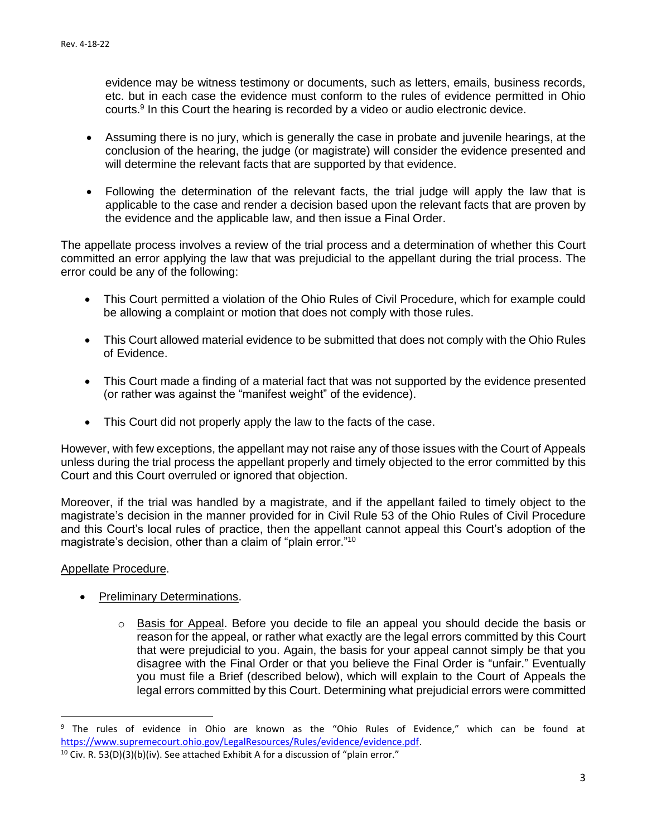evidence may be witness testimony or documents, such as letters, emails, business records, etc. but in each case the evidence must conform to the rules of evidence permitted in Ohio courts.<sup>9</sup> In this Court the hearing is recorded by a video or audio electronic device.

- Assuming there is no jury, which is generally the case in probate and juvenile hearings, at the conclusion of the hearing, the judge (or magistrate) will consider the evidence presented and will determine the relevant facts that are supported by that evidence.
- Following the determination of the relevant facts, the trial judge will apply the law that is applicable to the case and render a decision based upon the relevant facts that are proven by the evidence and the applicable law, and then issue a Final Order.

The appellate process involves a review of the trial process and a determination of whether this Court committed an error applying the law that was prejudicial to the appellant during the trial process. The error could be any of the following:

- This Court permitted a violation of the Ohio Rules of Civil Procedure, which for example could be allowing a complaint or motion that does not comply with those rules.
- This Court allowed material evidence to be submitted that does not comply with the Ohio Rules of Evidence.
- This Court made a finding of a material fact that was not supported by the evidence presented (or rather was against the "manifest weight" of the evidence).
- This Court did not properly apply the law to the facts of the case.

However, with few exceptions, the appellant may not raise any of those issues with the Court of Appeals unless during the trial process the appellant properly and timely objected to the error committed by this Court and this Court overruled or ignored that objection.

Moreover, if the trial was handled by a magistrate, and if the appellant failed to timely object to the magistrate's decision in the manner provided for in Civil Rule 53 of the Ohio Rules of Civil Procedure and this Court's local rules of practice, then the appellant cannot appeal this Court's adoption of the magistrate's decision, other than a claim of "plain error."<sup>10</sup>

#### Appellate Procedure.

- Preliminary Determinations.
	- $\circ$  Basis for Appeal. Before you decide to file an appeal you should decide the basis or reason for the appeal, or rather what exactly are the legal errors committed by this Court that were prejudicial to you. Again, the basis for your appeal cannot simply be that you disagree with the Final Order or that you believe the Final Order is "unfair." Eventually you must file a Brief (described below), which will explain to the Court of Appeals the legal errors committed by this Court. Determining what prejudicial errors were committed

<sup>&</sup>lt;sup>9</sup> The rules of evidence in Ohio are known as the "Ohio Rules of Evidence," which can be found at [https://www.supremecourt.ohio.gov/LegalResources/Rules/evidence/evidence.pdf.](https://www.supremecourt.ohio.gov/LegalResources/Rules/evidence/evidence.pdf)

 $10$  Civ. R. 53(D)(3)(b)(iv). See attached Exhibit A for a discussion of "plain error."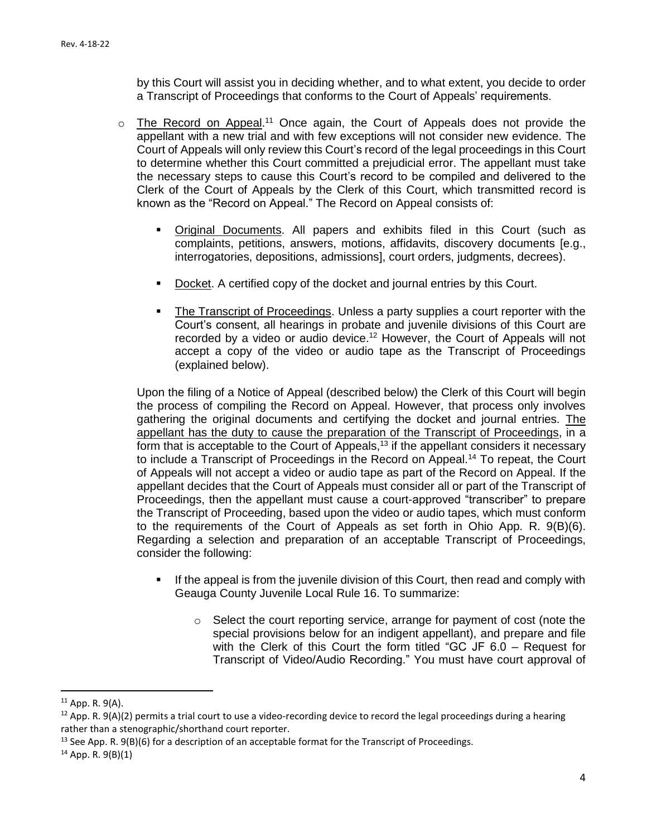by this Court will assist you in deciding whether, and to what extent, you decide to order a Transcript of Proceedings that conforms to the Court of Appeals' requirements.

- $\circ$  The Record on Appeal.<sup>11</sup> Once again, the Court of Appeals does not provide the appellant with a new trial and with few exceptions will not consider new evidence. The Court of Appeals will only review this Court's record of the legal proceedings in this Court to determine whether this Court committed a prejudicial error. The appellant must take the necessary steps to cause this Court's record to be compiled and delivered to the Clerk of the Court of Appeals by the Clerk of this Court, which transmitted record is known as the "Record on Appeal." The Record on Appeal consists of:
	- Original Documents. All papers and exhibits filed in this Court (such as complaints, petitions, answers, motions, affidavits, discovery documents [e.g., interrogatories, depositions, admissions], court orders, judgments, decrees).
	- **Docket.** A certified copy of the docket and journal entries by this Court.
	- The Transcript of Proceedings. Unless a party supplies a court reporter with the Court's consent, all hearings in probate and juvenile divisions of this Court are recorded by a video or audio device.<sup>12</sup> However, the Court of Appeals will not accept a copy of the video or audio tape as the Transcript of Proceedings (explained below).

Upon the filing of a Notice of Appeal (described below) the Clerk of this Court will begin the process of compiling the Record on Appeal. However, that process only involves gathering the original documents and certifying the docket and journal entries. The appellant has the duty to cause the preparation of the Transcript of Proceedings, in a form that is acceptable to the Court of Appeals,<sup>13</sup> if the appellant considers it necessary to include a Transcript of Proceedings in the Record on Appeal.<sup>14</sup> To repeat, the Court of Appeals will not accept a video or audio tape as part of the Record on Appeal. If the appellant decides that the Court of Appeals must consider all or part of the Transcript of Proceedings, then the appellant must cause a court-approved "transcriber" to prepare the Transcript of Proceeding, based upon the video or audio tapes, which must conform to the requirements of the Court of Appeals as set forth in Ohio App. R. 9(B)(6). Regarding a selection and preparation of an acceptable Transcript of Proceedings, consider the following:

- **.** If the appeal is from the juvenile division of this Court, then read and comply with Geauga County Juvenile Local Rule 16. To summarize:
	- $\circ$  Select the court reporting service, arrange for payment of cost (note the special provisions below for an indigent appellant), and prepare and file with the Clerk of this Court the form titled "GC JF 6.0 – Request for Transcript of Video/Audio Recording." You must have court approval of

 $11$  App. R. 9(A).

 $12$  App. R. 9(A)(2) permits a trial court to use a video-recording device to record the legal proceedings during a hearing rather than a stenographic/shorthand court reporter.

<sup>&</sup>lt;sup>13</sup> See App. R. 9(B)(6) for a description of an acceptable format for the Transcript of Proceedings.

 $14$  App. R. 9(B)(1)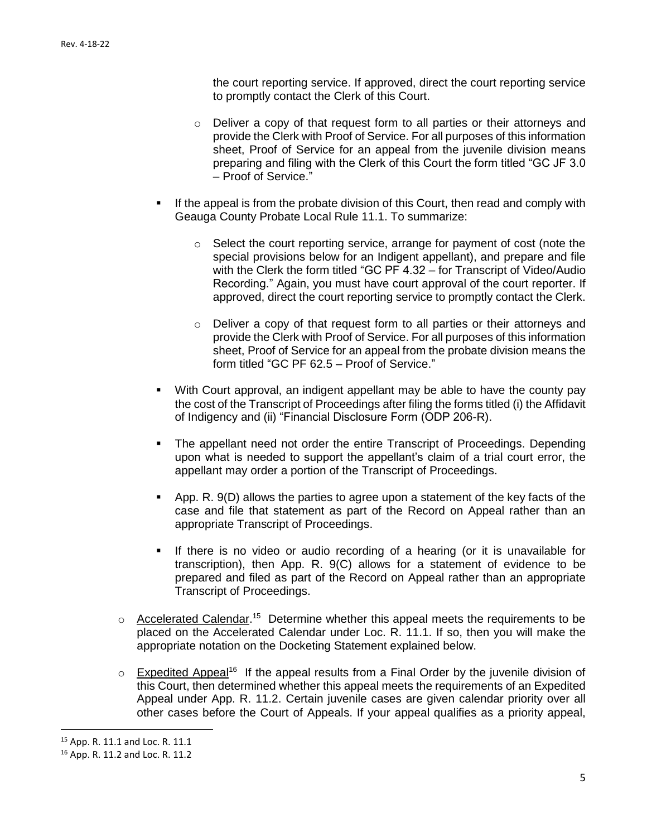the court reporting service. If approved, direct the court reporting service to promptly contact the Clerk of this Court.

- o Deliver a copy of that request form to all parties or their attorneys and provide the Clerk with Proof of Service. For all purposes of this information sheet, Proof of Service for an appeal from the juvenile division means preparing and filing with the Clerk of this Court the form titled "GC JF 3.0 – Proof of Service."
- If the appeal is from the probate division of this Court, then read and comply with Geauga County Probate Local Rule 11.1. To summarize:
	- o Select the court reporting service, arrange for payment of cost (note the special provisions below for an Indigent appellant), and prepare and file with the Clerk the form titled "GC PF 4.32 – for Transcript of Video/Audio Recording." Again, you must have court approval of the court reporter. If approved, direct the court reporting service to promptly contact the Clerk.
	- $\circ$  Deliver a copy of that request form to all parties or their attorneys and provide the Clerk with Proof of Service. For all purposes of this information sheet, Proof of Service for an appeal from the probate division means the form titled "GC PF 62.5 – Proof of Service."
- With Court approval, an indigent appellant may be able to have the county pay the cost of the Transcript of Proceedings after filing the forms titled (i) the Affidavit of Indigency and (ii) "Financial Disclosure Form (ODP 206-R).
- The appellant need not order the entire Transcript of Proceedings. Depending upon what is needed to support the appellant's claim of a trial court error, the appellant may order a portion of the Transcript of Proceedings.
- App. R. 9(D) allows the parties to agree upon a statement of the key facts of the case and file that statement as part of the Record on Appeal rather than an appropriate Transcript of Proceedings.
- **.** If there is no video or audio recording of a hearing (or it is unavailable for transcription), then App. R. 9(C) allows for a statement of evidence to be prepared and filed as part of the Record on Appeal rather than an appropriate Transcript of Proceedings.
- $\circ$  Accelerated Calendar.<sup>15</sup> Determine whether this appeal meets the requirements to be placed on the Accelerated Calendar under Loc. R. 11.1. If so, then you will make the appropriate notation on the Docketing Statement explained below.
- $\circ$  Expedited Appeal<sup>16</sup> If the appeal results from a Final Order by the juvenile division of this Court, then determined whether this appeal meets the requirements of an Expedited Appeal under App. R. 11.2. Certain juvenile cases are given calendar priority over all other cases before the Court of Appeals. If your appeal qualifies as a priority appeal,

<sup>15</sup> App. R. 11.1 and Loc. R. 11.1

<sup>16</sup> App. R. 11.2 and Loc. R. 11.2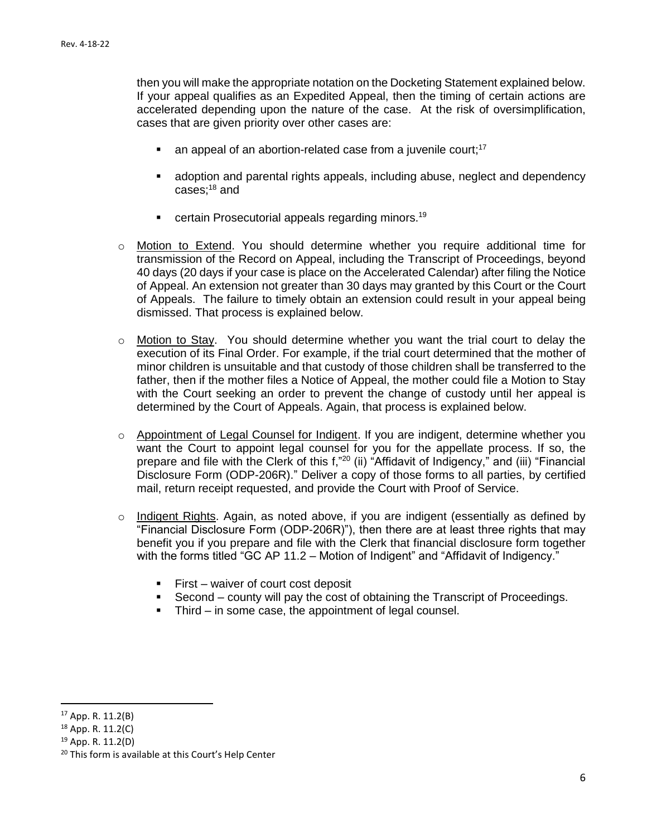then you will make the appropriate notation on the Docketing Statement explained below. If your appeal qualifies as an Expedited Appeal, then the timing of certain actions are accelerated depending upon the nature of the case. At the risk of oversimplification, cases that are given priority over other cases are:

- $\blacksquare$  an appeal of an abortion-related case from a juvenile court;<sup>17</sup>
- adoption and parental rights appeals, including abuse, neglect and dependency cases; <sup>18</sup> and
- certain Prosecutorial appeals regarding minors.<sup>19</sup>
- o Motion to Extend. You should determine whether you require additional time for transmission of the Record on Appeal, including the Transcript of Proceedings, beyond 40 days (20 days if your case is place on the Accelerated Calendar) after filing the Notice of Appeal. An extension not greater than 30 days may granted by this Court or the Court of Appeals. The failure to timely obtain an extension could result in your appeal being dismissed. That process is explained below.
- o Motion to Stay. You should determine whether you want the trial court to delay the execution of its Final Order. For example, if the trial court determined that the mother of minor children is unsuitable and that custody of those children shall be transferred to the father, then if the mother files a Notice of Appeal, the mother could file a Motion to Stay with the Court seeking an order to prevent the change of custody until her appeal is determined by the Court of Appeals. Again, that process is explained below.
- $\circ$  Appointment of Legal Counsel for Indigent. If you are indigent, determine whether you want the Court to appoint legal counsel for you for the appellate process. If so, the prepare and file with the Clerk of this f,"<sup>20</sup> (ii) "Affidavit of Indigency," and (iii) "Financial Disclosure Form (ODP-206R)." Deliver a copy of those forms to all parties, by certified mail, return receipt requested, and provide the Court with Proof of Service.
- o Indigent Rights. Again, as noted above, if you are indigent (essentially as defined by "Financial Disclosure Form (ODP-206R)"), then there are at least three rights that may benefit you if you prepare and file with the Clerk that financial disclosure form together with the forms titled "GC AP 11.2 – Motion of Indigent" and "Affidavit of Indigency."
	- First waiver of court cost deposit
	- Second county will pay the cost of obtaining the Transcript of Proceedings.
	- **•** Third in some case, the appointment of legal counsel.

 $17$  App. R. 11.2(B)

<sup>18</sup> App. R. 11.2(C)

<sup>19</sup> App. R. 11.2(D)

<sup>&</sup>lt;sup>20</sup> This form is available at this Court's Help Center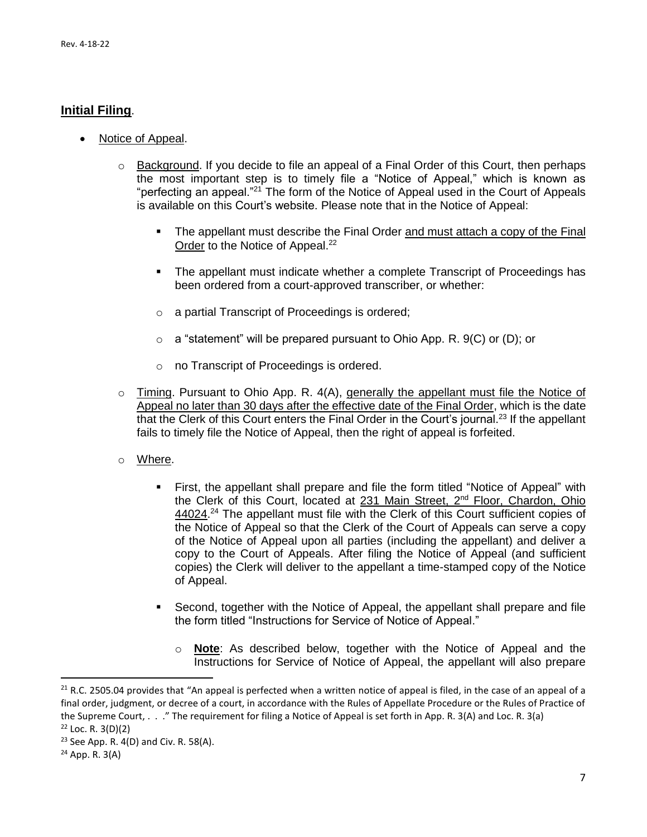### **Initial Filing**.

- Notice of Appeal.
	- $\circ$  Background. If you decide to file an appeal of a Final Order of this Court, then perhaps the most important step is to timely file a "Notice of Appeal," which is known as "perfecting an appeal."<sup>21</sup> The form of the Notice of Appeal used in the Court of Appeals is available on this Court's website. Please note that in the Notice of Appeal:
		- The appellant must describe the Final Order and must attach a copy of the Final Order to the Notice of Appeal.<sup>22</sup>
		- The appellant must indicate whether a complete Transcript of Proceedings has been ordered from a court-approved transcriber, or whether:
		- o a partial Transcript of Proceedings is ordered;
		- $\circ$  a "statement" will be prepared pursuant to Ohio App. R. 9(C) or (D); or
		- o no Transcript of Proceedings is ordered.
	- $\circ$  Timing. Pursuant to Ohio App. R. 4(A), generally the appellant must file the Notice of Appeal no later than 30 days after the effective date of the Final Order, which is the date that the Clerk of this Court enters the Final Order in the Court's journal.<sup>23</sup> If the appellant fails to timely file the Notice of Appeal, then the right of appeal is forfeited.
	- o Where.
		- **•** First, the appellant shall prepare and file the form titled "Notice of Appeal" with the Clerk of this Court, located at 231 Main Street, 2<sup>nd</sup> Floor, Chardon, Ohio 44024.<sup>24</sup> The appellant must file with the Clerk of this Court sufficient copies of the Notice of Appeal so that the Clerk of the Court of Appeals can serve a copy of the Notice of Appeal upon all parties (including the appellant) and deliver a copy to the Court of Appeals. After filing the Notice of Appeal (and sufficient copies) the Clerk will deliver to the appellant a time-stamped copy of the Notice of Appeal.
		- Second, together with the Notice of Appeal, the appellant shall prepare and file the form titled "Instructions for Service of Notice of Appeal."
			- o **Note**: As described below, together with the Notice of Appeal and the Instructions for Service of Notice of Appeal, the appellant will also prepare

 $21$  R.C. 2505.04 provides that "An appeal is perfected when a written notice of appeal is filed, in the case of an appeal of a final order, judgment, or decree of a court, in accordance with the Rules of Appellate Procedure or the Rules of Practice of the Supreme Court, . . ." The requirement for filing a Notice of Appeal is set forth in App. R. 3(A) and Loc. R. 3(a)  $22$  Loc. R. 3(D)(2)

<sup>&</sup>lt;sup>23</sup> See App. R.  $4(D)$  and Civ. R. 58(A).

<sup>24</sup> App. R. 3(A)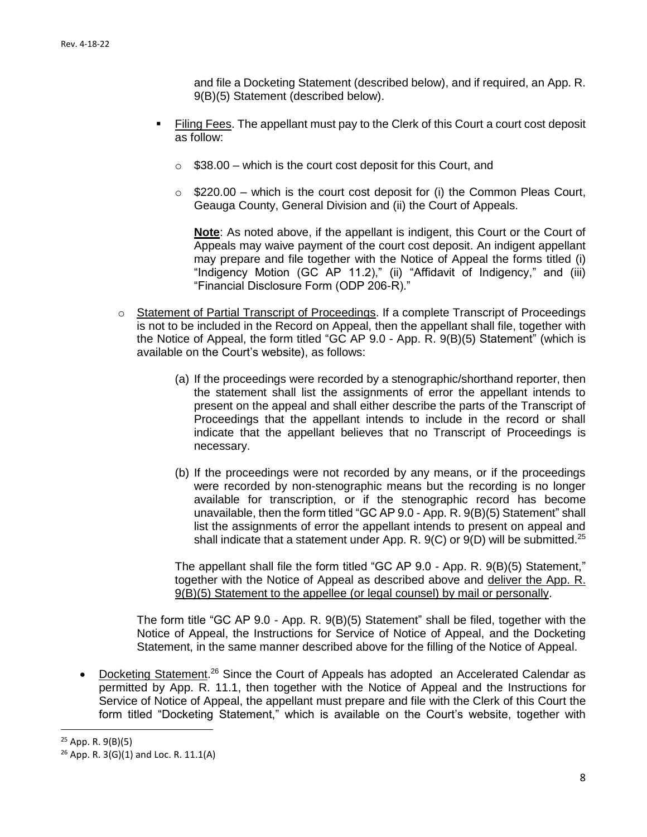and file a Docketing Statement (described below), and if required, an App. R. 9(B)(5) Statement (described below).

- Filing Fees. The appellant must pay to the Clerk of this Court a court cost deposit as follow:
	- $\circ$  \$38.00 which is the court cost deposit for this Court, and
	- $\circ$  \$220.00 which is the court cost deposit for (i) the Common Pleas Court, Geauga County, General Division and (ii) the Court of Appeals.

**Note**: As noted above, if the appellant is indigent, this Court or the Court of Appeals may waive payment of the court cost deposit. An indigent appellant may prepare and file together with the Notice of Appeal the forms titled (i) "Indigency Motion (GC AP 11.2)," (ii) "Affidavit of Indigency," and (iii) "Financial Disclosure Form (ODP 206-R)."

- o Statement of Partial Transcript of Proceedings. If a complete Transcript of Proceedings is not to be included in the Record on Appeal, then the appellant shall file, together with the Notice of Appeal, the form titled "GC AP 9.0 - App. R. 9(B)(5) Statement" (which is available on the Court's website), as follows:
	- (a) If the proceedings were recorded by a stenographic/shorthand reporter, then the statement shall list the assignments of error the appellant intends to present on the appeal and shall either describe the parts of the Transcript of Proceedings that the appellant intends to include in the record or shall indicate that the appellant believes that no Transcript of Proceedings is necessary.
	- (b) If the proceedings were not recorded by any means, or if the proceedings were recorded by non-stenographic means but the recording is no longer available for transcription, or if the stenographic record has become unavailable, then the form titled "GC AP 9.0 - App. R. 9(B)(5) Statement" shall list the assignments of error the appellant intends to present on appeal and shall indicate that a statement under App. R.  $9(C)$  or  $9(D)$  will be submitted.<sup>25</sup>

The appellant shall file the form titled "GC AP 9.0 - App. R. 9(B)(5) Statement," together with the Notice of Appeal as described above and deliver the App. R. 9(B)(5) Statement to the appellee (or legal counsel) by mail or personally.

The form title "GC AP 9.0 - App. R. 9(B)(5) Statement" shall be filed, together with the Notice of Appeal, the Instructions for Service of Notice of Appeal, and the Docketing Statement, in the same manner described above for the filling of the Notice of Appeal.

• Docketing Statement.<sup>26</sup> Since the Court of Appeals has adopted an Accelerated Calendar as permitted by App. R. 11.1, then together with the Notice of Appeal and the Instructions for Service of Notice of Appeal, the appellant must prepare and file with the Clerk of this Court the form titled "Docketing Statement," which is available on the Court's website, together with

 $25$  App. R. 9(B)(5)

<sup>26</sup> App. R. 3(G)(1) and Loc. R. 11.1(A)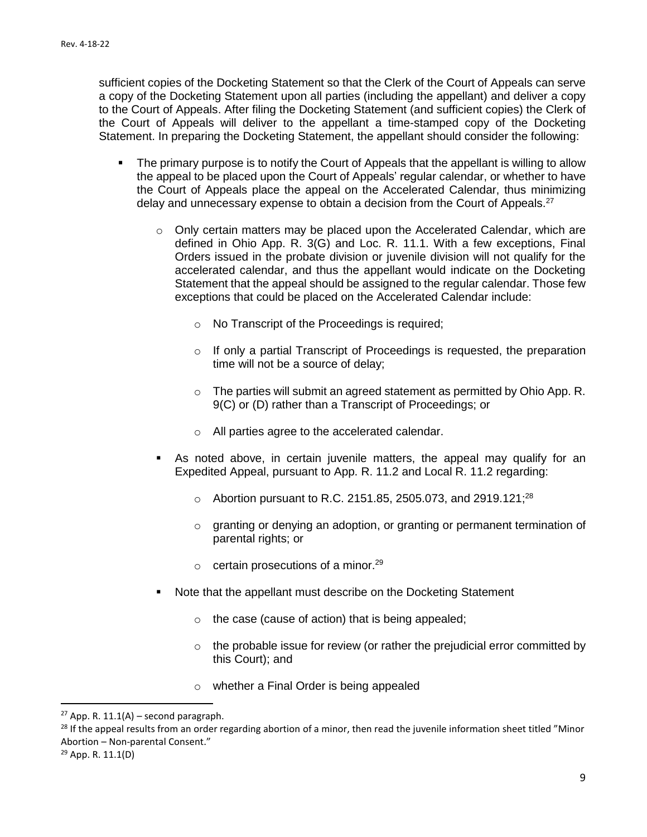sufficient copies of the Docketing Statement so that the Clerk of the Court of Appeals can serve a copy of the Docketing Statement upon all parties (including the appellant) and deliver a copy to the Court of Appeals. After filing the Docketing Statement (and sufficient copies) the Clerk of the Court of Appeals will deliver to the appellant a time-stamped copy of the Docketing Statement. In preparing the Docketing Statement, the appellant should consider the following:

- The primary purpose is to notify the Court of Appeals that the appellant is willing to allow the appeal to be placed upon the Court of Appeals' regular calendar, or whether to have the Court of Appeals place the appeal on the Accelerated Calendar, thus minimizing delay and unnecessary expense to obtain a decision from the Court of Appeals.<sup>27</sup>
	- $\circ$  Only certain matters may be placed upon the Accelerated Calendar, which are defined in Ohio App. R. 3(G) and Loc. R. 11.1. With a few exceptions, Final Orders issued in the probate division or juvenile division will not qualify for the accelerated calendar, and thus the appellant would indicate on the Docketing Statement that the appeal should be assigned to the regular calendar. Those few exceptions that could be placed on the Accelerated Calendar include:
		- o No Transcript of the Proceedings is required;
		- o If only a partial Transcript of Proceedings is requested, the preparation time will not be a source of delay;
		- o The parties will submit an agreed statement as permitted by Ohio App. R. 9(C) or (D) rather than a Transcript of Proceedings; or
		- o All parties agree to the accelerated calendar.
	- **E** As noted above, in certain juvenile matters, the appeal may qualify for an Expedited Appeal, pursuant to App. R. 11.2 and Local R. 11.2 regarding:
		- $\circ$  Abortion pursuant to R.C. 2151.85, 2505.073, and 2919.121;<sup>28</sup>
		- o granting or denying an adoption, or granting or permanent termination of parental rights; or
		- $\circ$  certain prosecutions of a minor.<sup>29</sup>
	- Note that the appellant must describe on the Docketing Statement
		- o the case (cause of action) that is being appealed;
		- $\circ$  the probable issue for review (or rather the prejudicial error committed by this Court); and
		- o whether a Final Order is being appealed

<sup>&</sup>lt;sup>27</sup> App. R. 11.1(A) – second paragraph.

<sup>&</sup>lt;sup>28</sup> If the appeal results from an order regarding abortion of a minor, then read the juvenile information sheet titled "Minor Abortion – Non-parental Consent."

<sup>29</sup> App. R. 11.1(D)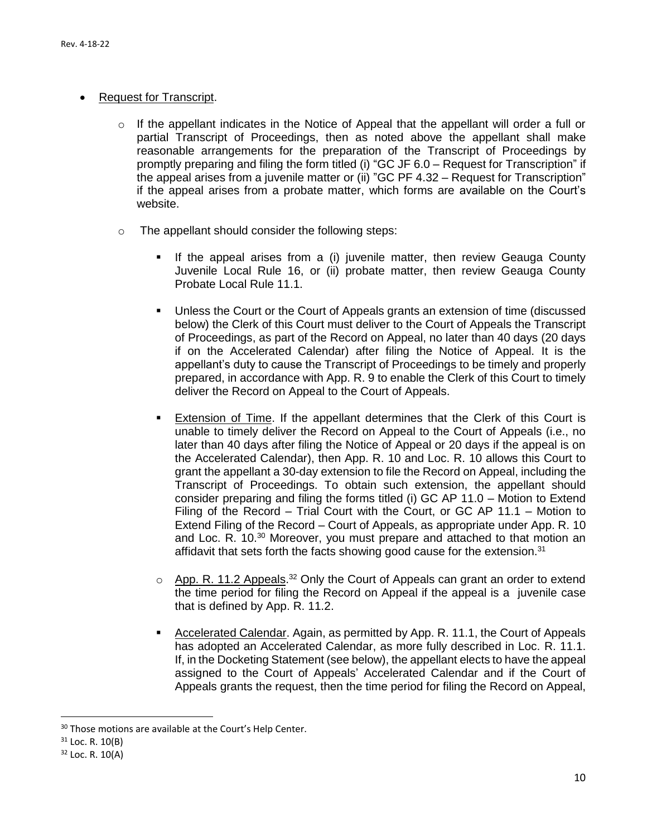#### • Request for Transcript.

- $\circ$  If the appellant indicates in the Notice of Appeal that the appellant will order a full or partial Transcript of Proceedings, then as noted above the appellant shall make reasonable arrangements for the preparation of the Transcript of Proceedings by promptly preparing and filing the form titled (i) "GC JF 6.0 – Request for Transcription" if the appeal arises from a juvenile matter or (ii) "GC PF 4.32 – Request for Transcription" if the appeal arises from a probate matter, which forms are available on the Court's website.
- o The appellant should consider the following steps:
	- **■** If the appeal arises from a (i) juvenile matter, then review Geauga County Juvenile Local Rule 16, or (ii) probate matter, then review Geauga County Probate Local Rule 11.1.
	- Unless the Court or the Court of Appeals grants an extension of time (discussed below) the Clerk of this Court must deliver to the Court of Appeals the Transcript of Proceedings, as part of the Record on Appeal, no later than 40 days (20 days if on the Accelerated Calendar) after filing the Notice of Appeal. It is the appellant's duty to cause the Transcript of Proceedings to be timely and properly prepared, in accordance with App. R. 9 to enable the Clerk of this Court to timely deliver the Record on Appeal to the Court of Appeals.
	- Extension of Time. If the appellant determines that the Clerk of this Court is unable to timely deliver the Record on Appeal to the Court of Appeals (i.e., no later than 40 days after filing the Notice of Appeal or 20 days if the appeal is on the Accelerated Calendar), then App. R. 10 and Loc. R. 10 allows this Court to grant the appellant a 30-day extension to file the Record on Appeal, including the Transcript of Proceedings. To obtain such extension, the appellant should consider preparing and filing the forms titled (i) GC AP 11.0 – Motion to Extend Filing of the Record – Trial Court with the Court, or GC AP 11.1 – Motion to Extend Filing of the Record – Court of Appeals, as appropriate under App. R. 10 and Loc. R. 10.<sup>30</sup> Moreover, you must prepare and attached to that motion an affidavit that sets forth the facts showing good cause for the extension.<sup>31</sup>
	- $\circ$  App. R. 11.2 Appeals.<sup>32</sup> Only the Court of Appeals can grant an order to extend the time period for filing the Record on Appeal if the appeal is a juvenile case that is defined by App. R. 11.2.
	- Accelerated Calendar. Again, as permitted by App. R. 11.1, the Court of Appeals has adopted an Accelerated Calendar, as more fully described in Loc. R. 11.1. If, in the Docketing Statement (see below), the appellant elects to have the appeal assigned to the Court of Appeals' Accelerated Calendar and if the Court of Appeals grants the request, then the time period for filing the Record on Appeal,

<sup>&</sup>lt;sup>30</sup> Those motions are available at the Court's Help Center.

 $31$  Loc. R. 10(B)

 $32$  Loc. R.  $10(A)$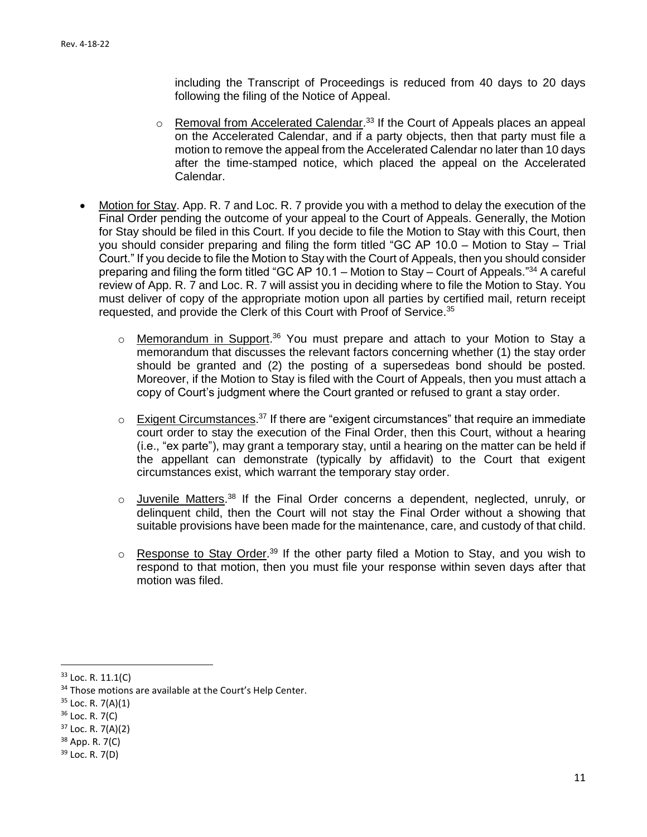including the Transcript of Proceedings is reduced from 40 days to 20 days following the filing of the Notice of Appeal.

- $\circ$  Removal from Accelerated Calendar.<sup>33</sup> If the Court of Appeals places an appeal on the Accelerated Calendar, and if a party objects, then that party must file a motion to remove the appeal from the Accelerated Calendar no later than 10 days after the time-stamped notice, which placed the appeal on the Accelerated Calendar.
- Motion for Stay. App. R. 7 and Loc. R. 7 provide you with a method to delay the execution of the Final Order pending the outcome of your appeal to the Court of Appeals. Generally, the Motion for Stay should be filed in this Court. If you decide to file the Motion to Stay with this Court, then you should consider preparing and filing the form titled "GC AP 10.0 – Motion to Stay – Trial Court." If you decide to file the Motion to Stay with the Court of Appeals, then you should consider preparing and filing the form titled "GC AP 10.1 – Motion to Stay – Court of Appeals."<sup>34</sup> A careful review of App. R. 7 and Loc. R. 7 will assist you in deciding where to file the Motion to Stay. You must deliver of copy of the appropriate motion upon all parties by certified mail, return receipt requested, and provide the Clerk of this Court with Proof of Service.<sup>35</sup>
	- o Memorandum in Support.<sup>36</sup> You must prepare and attach to your Motion to Stay a memorandum that discusses the relevant factors concerning whether (1) the stay order should be granted and (2) the posting of a supersedeas bond should be posted. Moreover, if the Motion to Stay is filed with the Court of Appeals, then you must attach a copy of Court's judgment where the Court granted or refused to grant a stay order.
	- $\circ$  Exigent Circumstances.<sup>37</sup> If there are "exigent circumstances" that require an immediate court order to stay the execution of the Final Order, then this Court, without a hearing (i.e., "ex parte"), may grant a temporary stay, until a hearing on the matter can be held if the appellant can demonstrate (typically by affidavit) to the Court that exigent circumstances exist, which warrant the temporary stay order.
	- o Juvenile Matters.<sup>38</sup> If the Final Order concerns a dependent, neglected, unruly, or delinquent child, then the Court will not stay the Final Order without a showing that suitable provisions have been made for the maintenance, care, and custody of that child.
	- $\circ$  Response to Stay Order.<sup>39</sup> If the other party filed a Motion to Stay, and you wish to respond to that motion, then you must file your response within seven days after that motion was filed.

 $\overline{a}$ 

 $39$  Loc. R. 7(D)

<sup>33</sup> Loc. R. 11.1(C)

<sup>&</sup>lt;sup>34</sup> Those motions are available at the Court's Help Center.

 $35$  Loc. R. 7(A)(1)

 $36$  Loc. R. 7(C)

 $37$  Loc. R. 7(A)(2)

<sup>38</sup> App. R. 7(C)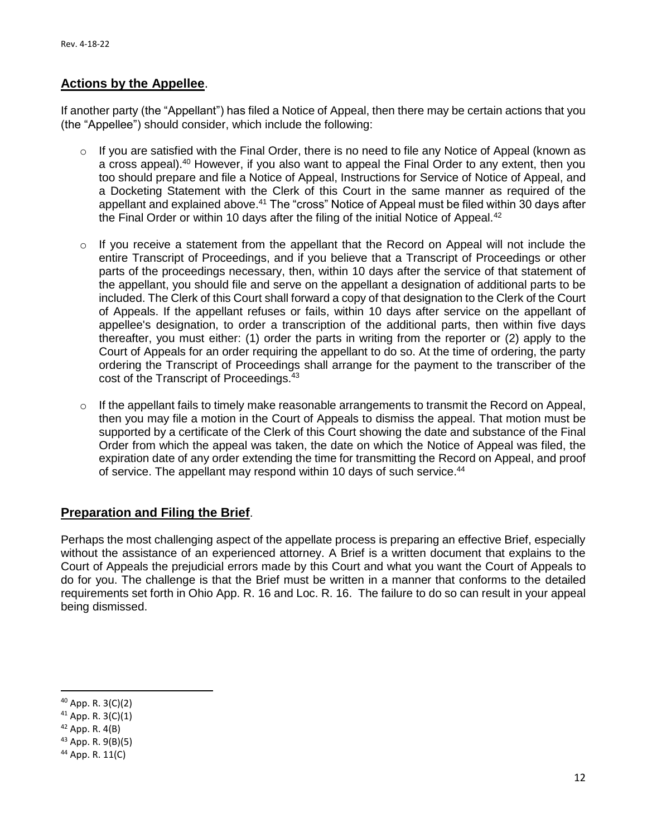## **Actions by the Appellee**.

If another party (the "Appellant") has filed a Notice of Appeal, then there may be certain actions that you (the "Appellee") should consider, which include the following:

- o If you are satisfied with the Final Order, there is no need to file any Notice of Appeal (known as a cross appeal).<sup>40</sup> However, if you also want to appeal the Final Order to any extent, then you too should prepare and file a Notice of Appeal, Instructions for Service of Notice of Appeal, and a Docketing Statement with the Clerk of this Court in the same manner as required of the appellant and explained above.<sup>41</sup> The "cross" Notice of Appeal must be filed within 30 days after the Final Order or within 10 days after the filing of the initial Notice of Appeal. $42$
- $\circ$  If you receive a statement from the appellant that the Record on Appeal will not include the entire Transcript of Proceedings, and if you believe that a Transcript of Proceedings or other parts of the proceedings necessary, then, within 10 days after the service of that statement of the appellant, you should file and serve on the appellant a designation of additional parts to be included. The Clerk of this Court shall forward a copy of that designation to the Clerk of the Court of Appeals. If the appellant refuses or fails, within 10 days after service on the appellant of appellee's designation, to order a transcription of the additional parts, then within five days thereafter, you must either: (1) order the parts in writing from the reporter or (2) apply to the Court of Appeals for an order requiring the appellant to do so. At the time of ordering, the party ordering the Transcript of Proceedings shall arrange for the payment to the transcriber of the cost of the Transcript of Proceedings.<sup>43</sup>
- $\circ$  If the appellant fails to timely make reasonable arrangements to transmit the Record on Appeal, then you may file a motion in the Court of Appeals to dismiss the appeal. That motion must be supported by a certificate of the Clerk of this Court showing the date and substance of the Final Order from which the appeal was taken, the date on which the Notice of Appeal was filed, the expiration date of any order extending the time for transmitting the Record on Appeal, and proof of service. The appellant may respond within 10 days of such service.<sup>44</sup>

## **Preparation and Filing the Brief**.

Perhaps the most challenging aspect of the appellate process is preparing an effective Brief, especially without the assistance of an experienced attorney. A Brief is a written document that explains to the Court of Appeals the prejudicial errors made by this Court and what you want the Court of Appeals to do for you. The challenge is that the Brief must be written in a manner that conforms to the detailed requirements set forth in Ohio App. R. 16 and Loc. R. 16. The failure to do so can result in your appeal being dismissed.

 $40$  App. R.  $3(C)(2)$ 

 $41$  App. R. 3(C)(1)

 $42$  App. R.  $4(B)$ 

<sup>43</sup> App. R. 9(B)(5)

<sup>44</sup> App. R. 11(C)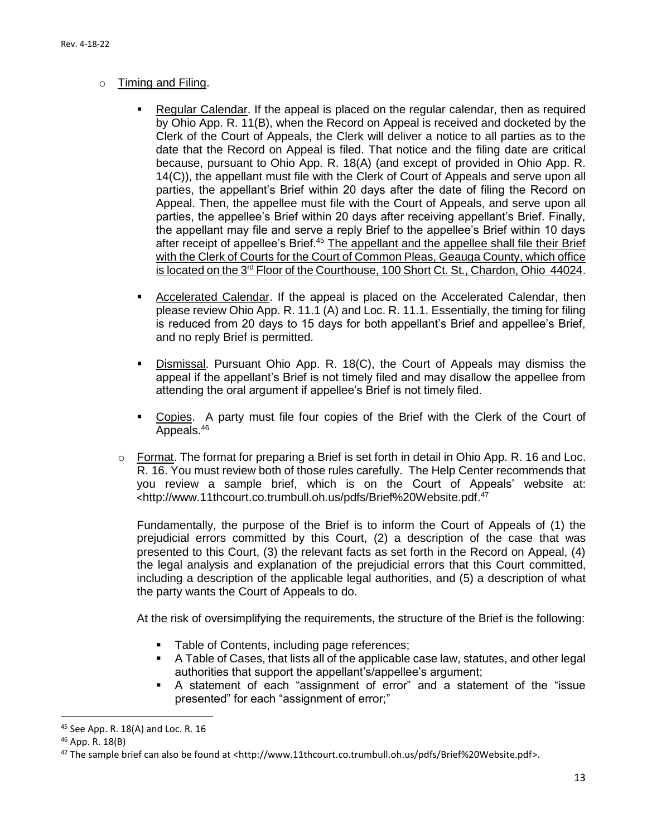#### o Timing and Filing.

- Regular Calendar. If the appeal is placed on the regular calendar, then as required by Ohio App. R. 11(B), when the Record on Appeal is received and docketed by the Clerk of the Court of Appeals, the Clerk will deliver a notice to all parties as to the date that the Record on Appeal is filed. That notice and the filing date are critical because, pursuant to Ohio App. R. 18(A) (and except of provided in Ohio App. R. 14(C)), the appellant must file with the Clerk of Court of Appeals and serve upon all parties, the appellant's Brief within 20 days after the date of filing the Record on Appeal. Then, the appellee must file with the Court of Appeals, and serve upon all parties, the appellee's Brief within 20 days after receiving appellant's Brief. Finally, the appellant may file and serve a reply Brief to the appellee's Brief within 10 days after receipt of appellee's Brief.<sup>45</sup> The appellant and the appellee shall file their Brief with the Clerk of Courts for the Court of Common Pleas, Geauga County, which office is located on the 3<sup>rd</sup> Floor of the Courthouse, 100 Short Ct. St., Chardon, Ohio 44024.
- Accelerated Calendar. If the appeal is placed on the Accelerated Calendar, then please review Ohio App. R. 11.1 (A) and Loc. R. 11.1. Essentially, the timing for filing is reduced from 20 days to 15 days for both appellant's Brief and appellee's Brief, and no reply Brief is permitted.
- **EXECT** Dismissal. Pursuant Ohio App. R. 18(C), the Court of Appeals may dismiss the appeal if the appellant's Brief is not timely filed and may disallow the appellee from attending the oral argument if appellee's Brief is not timely filed.
- Copies. A party must file four copies of the Brief with the Clerk of the Court of Appeals.<sup>46</sup>
- o Format. The format for preparing a Brief is set forth in detail in Ohio App. R. 16 and Loc. R. 16. You must review both of those rules carefully. The Help Center recommends that you review a sample brief, which is on the Court of Appeals' website at: <http://www.11thcourt.co.trumbull.oh.us/pdfs/Brief%20Website.pdf. 47

Fundamentally, the purpose of the Brief is to inform the Court of Appeals of (1) the prejudicial errors committed by this Court, (2) a description of the case that was presented to this Court, (3) the relevant facts as set forth in the Record on Appeal, (4) the legal analysis and explanation of the prejudicial errors that this Court committed, including a description of the applicable legal authorities, and (5) a description of what the party wants the Court of Appeals to do.

At the risk of oversimplifying the requirements, the structure of the Brief is the following:

- Table of Contents, including page references;
- A Table of Cases, that lists all of the applicable case law, statutes, and other legal authorities that support the appellant's/appellee's argument;
- A statement of each "assignment of error" and a statement of the "issue presented" for each "assignment of error;"

<sup>45</sup> See App. R. 18(A) and Loc. R. 16

<sup>46</sup> App. R. 18(B)

<sup>47</sup> The sample brief can also be found at [<http://www.11thcourt.co.trumbull.oh.us/pdfs/Brief%20Website.pdf>](http://www.11thcourt.co.trumbull.oh.us/pdfs/Brief%20Website.pdf).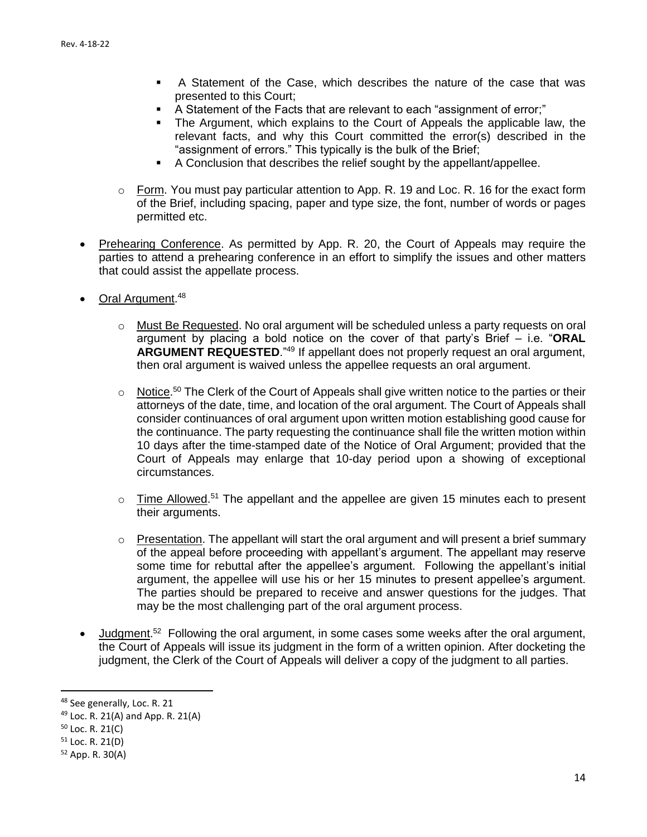- A Statement of the Case, which describes the nature of the case that was presented to this Court;
- A Statement of the Facts that are relevant to each "assignment of error;"
- The Argument, which explains to the Court of Appeals the applicable law, the relevant facts, and why this Court committed the error(s) described in the "assignment of errors." This typically is the bulk of the Brief;
- A Conclusion that describes the relief sought by the appellant/appellee.
- $\circ$  Form. You must pay particular attention to App. R. 19 and Loc. R. 16 for the exact form of the Brief, including spacing, paper and type size, the font, number of words or pages permitted etc.
- Prehearing Conference. As permitted by App. R. 20, the Court of Appeals may require the parties to attend a prehearing conference in an effort to simplify the issues and other matters that could assist the appellate process.
- Oral Argument.<sup>48</sup>
	- o Must Be Requested. No oral argument will be scheduled unless a party requests on oral argument by placing a bold notice on the cover of that party's Brief – i.e. "**ORAL ARGUMENT REQUESTED**."<sup>49</sup> If appellant does not properly request an oral argument, then oral argument is waived unless the appellee requests an oral argument.
	- $\circ$  Notice.<sup>50</sup> The Clerk of the Court of Appeals shall give written notice to the parties or their attorneys of the date, time, and location of the oral argument. The Court of Appeals shall consider continuances of oral argument upon written motion establishing good cause for the continuance. The party requesting the continuance shall file the written motion within 10 days after the time-stamped date of the Notice of Oral Argument; provided that the Court of Appeals may enlarge that 10-day period upon a showing of exceptional circumstances.
	- $\circ$  Time Allowed.<sup>51</sup> The appellant and the appellee are given 15 minutes each to present their arguments.
	- $\circ$  Presentation. The appellant will start the oral argument and will present a brief summary of the appeal before proceeding with appellant's argument. The appellant may reserve some time for rebuttal after the appellee's argument. Following the appellant's initial argument, the appellee will use his or her 15 minutes to present appellee's argument. The parties should be prepared to receive and answer questions for the judges. That may be the most challenging part of the oral argument process.
- Judgment.<sup>52</sup> Following the oral argument, in some cases some weeks after the oral argument, the Court of Appeals will issue its judgment in the form of a written opinion. After docketing the judgment, the Clerk of the Court of Appeals will deliver a copy of the judgment to all parties.

<sup>48</sup> See generally, Loc. R. 21

 $49$  Loc. R. 21(A) and App. R. 21(A)

 $50$  Loc. R. 21(C)

 $51$  Loc. R. 21(D)

<sup>52</sup> App. R. 30(A)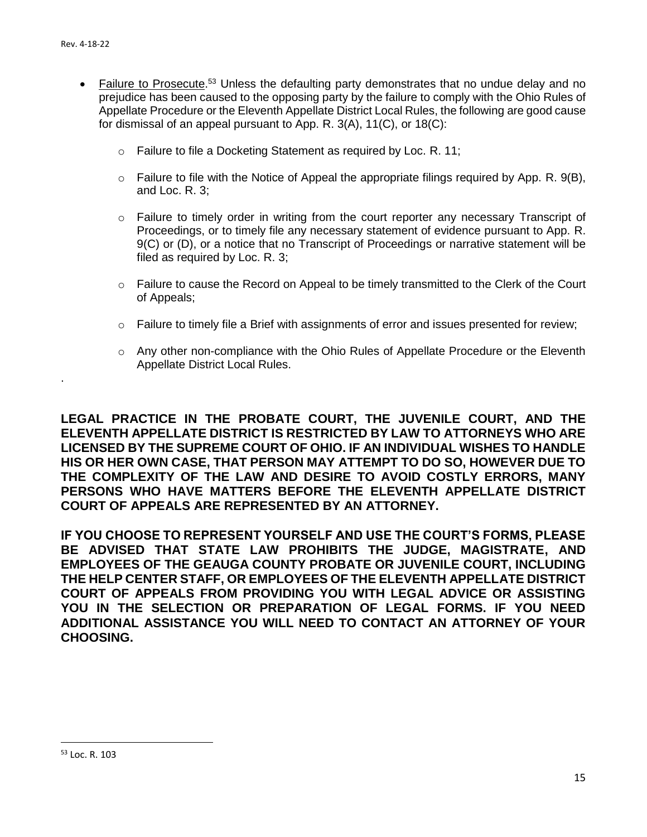.

- Failure to Prosecute.<sup>53</sup> Unless the defaulting party demonstrates that no undue delay and no prejudice has been caused to the opposing party by the failure to comply with the Ohio Rules of Appellate Procedure or the Eleventh Appellate District Local Rules, the following are good cause for dismissal of an appeal pursuant to App. R. 3(A), 11(C), or 18(C):
	- o Failure to file a Docketing Statement as required by Loc. R. 11;
	- $\circ$  Failure to file with the Notice of Appeal the appropriate filings required by App. R. 9(B), and Loc. R. 3;
	- $\circ$  Failure to timely order in writing from the court reporter any necessary Transcript of Proceedings, or to timely file any necessary statement of evidence pursuant to App. R. 9(C) or (D), or a notice that no Transcript of Proceedings or narrative statement will be filed as required by Loc. R. 3;
	- $\circ$  Failure to cause the Record on Appeal to be timely transmitted to the Clerk of the Court of Appeals;
	- $\circ$  Failure to timely file a Brief with assignments of error and issues presented for review;
	- $\circ$  Any other non-compliance with the Ohio Rules of Appellate Procedure or the Eleventh Appellate District Local Rules.

**LEGAL PRACTICE IN THE PROBATE COURT, THE JUVENILE COURT, AND THE ELEVENTH APPELLATE DISTRICT IS RESTRICTED BY LAW TO ATTORNEYS WHO ARE LICENSED BY THE SUPREME COURT OF OHIO. IF AN INDIVIDUAL WISHES TO HANDLE HIS OR HER OWN CASE, THAT PERSON MAY ATTEMPT TO DO SO, HOWEVER DUE TO THE COMPLEXITY OF THE LAW AND DESIRE TO AVOID COSTLY ERRORS, MANY PERSONS WHO HAVE MATTERS BEFORE THE ELEVENTH APPELLATE DISTRICT COURT OF APPEALS ARE REPRESENTED BY AN ATTORNEY.** 

**IF YOU CHOOSE TO REPRESENT YOURSELF AND USE THE COURT'S FORMS, PLEASE BE ADVISED THAT STATE LAW PROHIBITS THE JUDGE, MAGISTRATE, AND EMPLOYEES OF THE GEAUGA COUNTY PROBATE OR JUVENILE COURT, INCLUDING THE HELP CENTER STAFF, OR EMPLOYEES OF THE ELEVENTH APPELLATE DISTRICT COURT OF APPEALS FROM PROVIDING YOU WITH LEGAL ADVICE OR ASSISTING YOU IN THE SELECTION OR PREPARATION OF LEGAL FORMS. IF YOU NEED ADDITIONAL ASSISTANCE YOU WILL NEED TO CONTACT AN ATTORNEY OF YOUR CHOOSING.**

<sup>53</sup> Loc. R. 103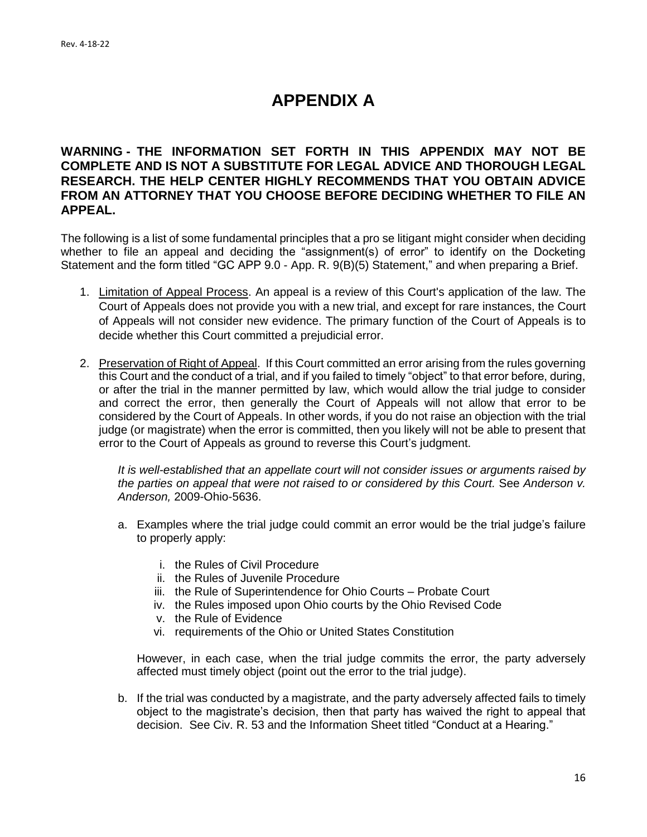## **APPENDIX A**

## **WARNING - THE INFORMATION SET FORTH IN THIS APPENDIX MAY NOT BE COMPLETE AND IS NOT A SUBSTITUTE FOR LEGAL ADVICE AND THOROUGH LEGAL RESEARCH. THE HELP CENTER HIGHLY RECOMMENDS THAT YOU OBTAIN ADVICE FROM AN ATTORNEY THAT YOU CHOOSE BEFORE DECIDING WHETHER TO FILE AN APPEAL.**

The following is a list of some fundamental principles that a pro se litigant might consider when deciding whether to file an appeal and deciding the "assignment(s) of error" to identify on the Docketing Statement and the form titled "GC APP 9.0 - App. R. 9(B)(5) Statement," and when preparing a Brief.

- 1. Limitation of Appeal Process. An appeal is a review of this Court's application of the law. The Court of Appeals does not provide you with a new trial, and except for rare instances, the Court of Appeals will not consider new evidence. The primary function of the Court of Appeals is to decide whether this Court committed a prejudicial error.
- 2. Preservation of Right of Appeal. If this Court committed an error arising from the rules governing this Court and the conduct of a trial, and if you failed to timely "object" to that error before, during, or after the trial in the manner permitted by law, which would allow the trial judge to consider and correct the error, then generally the Court of Appeals will not allow that error to be considered by the Court of Appeals. In other words, if you do not raise an objection with the trial judge (or magistrate) when the error is committed, then you likely will not be able to present that error to the Court of Appeals as ground to reverse this Court's judgment.

*It is well-established that an appellate court will not consider issues or arguments raised by the parties on appeal that were not raised to or considered by this Court. See Anderson v. Anderson,* 2009-Ohio-5636.

- a. Examples where the trial judge could commit an error would be the trial judge's failure to properly apply:
	- i. the Rules of Civil Procedure
	- ii. the Rules of Juvenile Procedure
	- iii. the Rule of Superintendence for Ohio Courts Probate Court
	- iv. the Rules imposed upon Ohio courts by the Ohio Revised Code
	- v. the Rule of Evidence
	- vi. requirements of the Ohio or United States Constitution

However, in each case, when the trial judge commits the error, the party adversely affected must timely object (point out the error to the trial judge).

b. If the trial was conducted by a magistrate, and the party adversely affected fails to timely object to the magistrate's decision, then that party has waived the right to appeal that decision. See Civ. R. 53 and the Information Sheet titled "Conduct at a Hearing."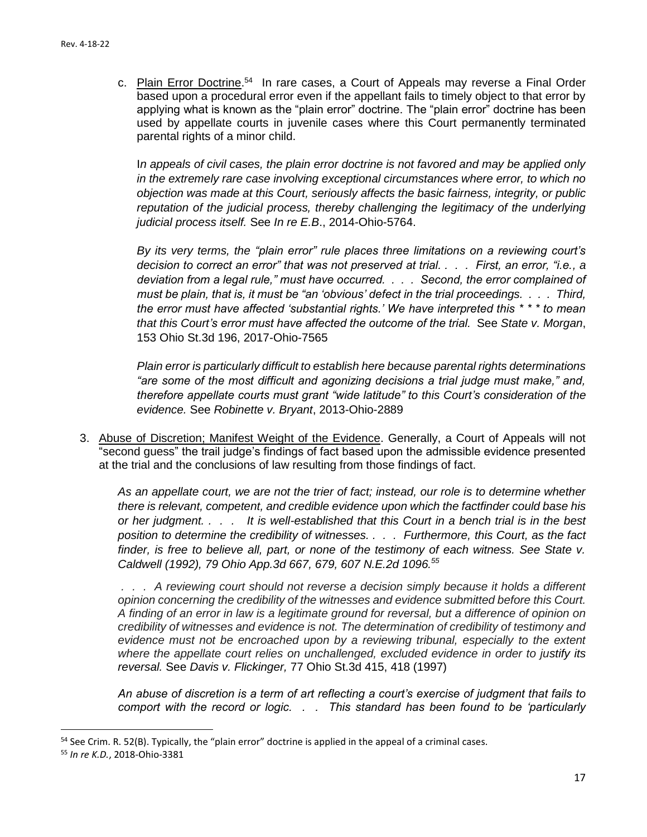c. Plain Error Doctrine.<sup>54</sup> In rare cases, a Court of Appeals may reverse a Final Order based upon a procedural error even if the appellant fails to timely object to that error by applying what is known as the "plain error" doctrine. The "plain error" doctrine has been used by appellate courts in juvenile cases where this Court permanently terminated parental rights of a minor child.

In appeals of civil cases, the plain error doctrine is not favored and may be applied only *in the extremely rare case involving exceptional circumstances where error, to which no objection was made at this Court, seriously affects the basic fairness, integrity, or public reputation of the judicial process, thereby challenging the legitimacy of the underlying judicial process itself.* See *In re E.B*., 2014-Ohio-5764.

*By its very terms, the "plain error" rule places three limitations on a reviewing court's decision to correct an error" that was not preserved at trial. . . . First, an error, "i.e., a deviation from a legal rule," must have occurred. . . . Second, the error complained of must be plain, that is, it must be "an 'obvious' defect in the trial proceedings. . . . Third, the error must have affected 'substantial rights.' We have interpreted this \* \* \* to mean that this Court's error must have affected the outcome of the trial.* See *State v. Morgan*, 153 Ohio St.3d 196, 2017-Ohio-7565

*Plain error is particularly difficult to establish here because parental rights determinations "are some of the most difficult and agonizing decisions a trial judge must make," and, therefore appellate courts must grant "wide latitude" to this Court's consideration of the evidence.* See *Robinette v. Bryant*, 2013-Ohio-2889

3. Abuse of Discretion; Manifest Weight of the Evidence. Generally, a Court of Appeals will not "second guess" the trail judge's findings of fact based upon the admissible evidence presented at the trial and the conclusions of law resulting from those findings of fact.

*As an appellate court, we are not the trier of fact; instead, our role is to determine whether there is relevant, competent, and credible evidence upon which the factfinder could base his or her judgment. . . . It is well-established that this Court in a bench trial is in the best position to determine the credibility of witnesses. . . . Furthermore, this Court, as the fact*  finder, is free to believe all, part, or none of the testimony of each witness. See State v. *Caldwell (1992), 79 Ohio App.3d 667, 679, 607 N.E.2d 1096.<sup>55</sup>*

*. . . A reviewing court should not reverse a decision simply because it holds a different opinion concerning the credibility of the witnesses and evidence submitted before this Court. A finding of an error in law is a legitimate ground for reversal, but a difference of opinion on credibility of witnesses and evidence is not. The determination of credibility of testimony and evidence must not be encroached upon by a reviewing tribunal, especially to the extent where the appellate court relies on unchallenged, excluded evidence in order to justify its reversal.* See *Davis v. Flickinger,* [77 Ohio St.3d 415, 418 \(1997\)](https://scholar.google.com/scholar_case?case=15141690922915631574&hl=en&as_sdt=6,36&as_vis=1)

*An abuse of discretion is a term of art reflecting a court's exercise of judgment that fails to comport with the record or logic. . . This standard has been found to be 'particularly* 

<sup>&</sup>lt;sup>54</sup> See Crim. R. 52(B). Typically, the "plain error" doctrine is applied in the appeal of a criminal cases.

<sup>55</sup> *In re K.D.*, 2018-Ohio-3381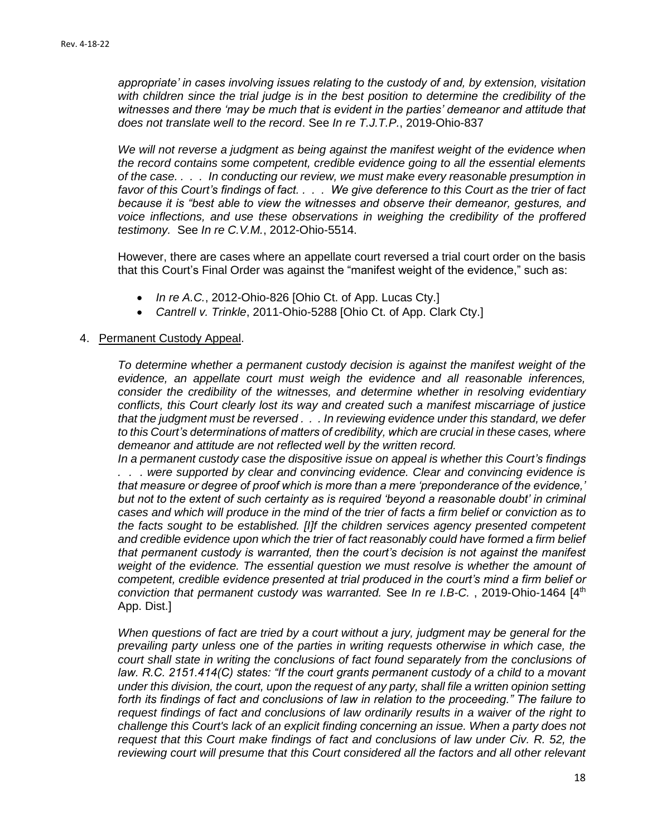*appropriate' in cases involving issues relating to the custody of and, by extension, visitation with children since the trial judge is in the best position to determine the credibility of the witnesses and there 'may be much that is evident in the parties' demeanor and attitude that does not translate well to the record*. See *In re T.J.T.P.*, 2019-Ohio-837

*We will not reverse a judgment as being against the manifest weight of the evidence when the record contains some competent, credible evidence going to all the essential elements of the case. . . . In conducting our review, we must make every reasonable presumption in favor of this Court's findings of fact. . . . We give deference to this Court as the trier of fact because it is "best able to view the witnesses and observe their demeanor, gestures, and voice inflections, and use these observations in weighing the credibility of the proffered testimony.* See *In re C.V.M.*, 2012-Ohio-5514.

However, there are cases where an appellate court reversed a trial court order on the basis that this Court's Final Order was against the "manifest weight of the evidence," such as:

- *In re A.C.*, 2012-Ohio-826 [Ohio Ct. of App. Lucas Cty.]
- *Cantrell v. Trinkle*, 2011-Ohio-5288 [Ohio Ct. of App. Clark Cty.]

#### 4. Permanent Custody Appeal.

*To determine whether a permanent custody decision is against the manifest weight of the evidence, an appellate court must weigh the evidence and all reasonable inferences, consider the credibility of the witnesses, and determine whether in resolving evidentiary conflicts, this Court clearly lost its way and created such a manifest miscarriage of justice that the judgment must be reversed . . . In reviewing evidence under this standard, we defer to this Court's determinations of matters of credibility, which are crucial in these cases, where demeanor and attitude are not reflected well by the written record.* 

*In a permanent custody case the dispositive issue on appeal is whether this Court's findings . . . were supported by clear and convincing evidence. Clear and convincing evidence is that measure or degree of proof which is more than a mere 'preponderance of the evidence,' but not to the extent of such certainty as is required 'beyond a reasonable doubt' in criminal cases and which will produce in the mind of the trier of facts a firm belief or conviction as to the facts sought to be established. [I]f the children services agency presented competent and credible evidence upon which the trier of fact reasonably could have formed a firm belief that permanent custody is warranted, then the court's decision is not against the manifest weight of the evidence. The essential question we must resolve is whether the amount of competent, credible evidence presented at trial produced in the court's mind a firm belief or conviction that permanent custody was warranted.* See *In re I.B-C.* , 2019-Ohio-1464 [4th App. Dist.]

*When questions of fact are tried by a court without a jury, judgment may be general for the prevailing party unless one of the parties in writing requests otherwise in which case, the court shall state in writing the conclusions of fact found separately from the conclusions of law. R.C. 2151.414(C) states: "If the court grants permanent custody of a child to a movant under this division, the court, upon the request of any party, shall file a written opinion setting forth its findings of fact and conclusions of law in relation to the proceeding." The failure to request findings of fact and conclusions of law ordinarily results in a waiver of the right to challenge this Court's lack of an explicit finding concerning an issue. When a party does not request that this Court make findings of fact and conclusions of law under Civ. R. 52, the reviewing court will presume that this Court considered all the factors and all other relevant*